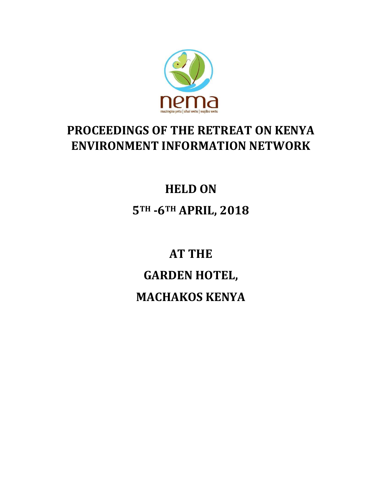

# **PROCEEDINGS OF THE RETREAT ON KENYA ENVIRONMENT INFORMATION NETWORK**

# **HELD ON 5TH -6TH APRIL, 2018**

**AT THE GARDEN HOTEL, MACHAKOS KENYA**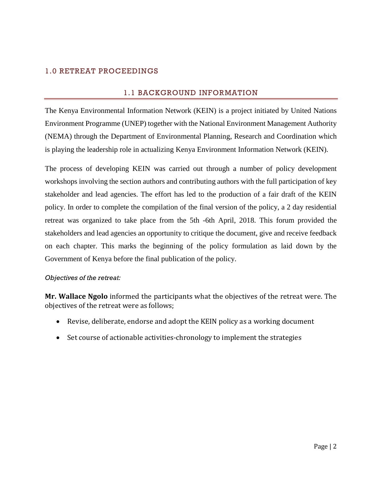# 1.0 RETREAT PROCEEDINGS

# 1.1 BACKGROUND INFORMATION

The Kenya Environmental Information Network (KEIN) is a project initiated by United Nations Environment Programme (UNEP) together with the National Environment Management Authority (NEMA) through the Department of Environmental Planning, Research and Coordination which is playing the leadership role in actualizing Kenya Environment Information Network (KEIN).

The process of developing KEIN was carried out through a number of policy development workshops involving the section authors and contributing authors with the full participation of key stakeholder and lead agencies. The effort has led to the production of a fair draft of the KEIN policy. In order to complete the compilation of the final version of the policy, a 2 day residential retreat was organized to take place from the 5th -6th April, 2018. This forum provided the stakeholders and lead agencies an opportunity to critique the document, give and receive feedback on each chapter. This marks the beginning of the policy formulation as laid down by the Government of Kenya before the final publication of the policy.

# *Objectives of the retreat:*

**Mr. Wallace Ngolo** informed the participants what the objectives of the retreat were. The objectives of the retreat were as follows;

- Revise, deliberate, endorse and adopt the KEIN policy as a working document
- Set course of actionable activities-chronology to implement the strategies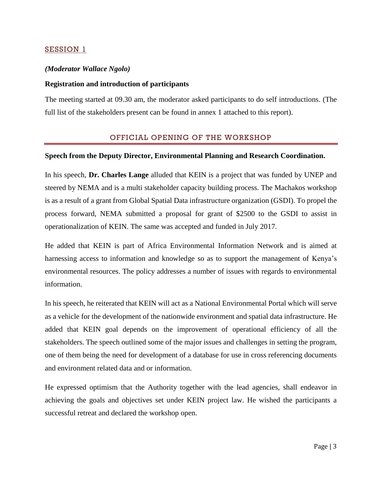# SESSION 1

# *(Moderator Wallace Ngolo)*

#### **Registration and introduction of participants**

The meeting started at 09.30 am, the moderator asked participants to do self introductions. (The full list of the stakeholders present can be found in annex 1 attached to this report).

# OFFICIAL OPENING OF THE WORKSHOP

#### **Speech from the Deputy Director, Environmental Planning and Research Coordination.**

In his speech, **Dr. Charles Lange** alluded that KEIN is a project that was funded by UNEP and steered by NEMA and is a multi stakeholder capacity building process. The Machakos workshop is as a result of a grant from Global Spatial Data infrastructure organization (GSDI). To propel the process forward, NEMA submitted a proposal for grant of \$2500 to the GSDI to assist in operationalization of KEIN. The same was accepted and funded in July 2017.

He added that KEIN is part of Africa Environmental Information Network and is aimed at harnessing access to information and knowledge so as to support the management of Kenya's environmental resources. The policy addresses a number of issues with regards to environmental information.

In his speech, he reiterated that KEIN will act as a National Environmental Portal which will serve as a vehicle for the development of the nationwide environment and spatial data infrastructure. He added that KEIN goal depends on the improvement of operational efficiency of all the stakeholders. The speech outlined some of the major issues and challenges in setting the program, one of them being the need for development of a database for use in cross referencing documents and environment related data and or information.

He expressed optimism that the Authority together with the lead agencies, shall endeavor in achieving the goals and objectives set under KEIN project law. He wished the participants a successful retreat and declared the workshop open.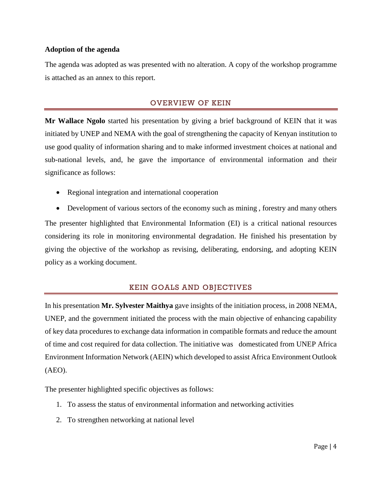# **Adoption of the agenda**

The agenda was adopted as was presented with no alteration. A copy of the workshop programme is attached as an annex to this report.

# OVERVIEW OF KEIN

**Mr Wallace Ngolo** started his presentation by giving a brief background of KEIN that it was initiated by UNEP and NEMA with the goal of strengthening the capacity of Kenyan institution to use good quality of information sharing and to make informed investment choices at national and sub-national levels, and, he gave the importance of environmental information and their significance as follows:

- Regional integration and international cooperation
- Development of various sectors of the economy such as mining , forestry and many others The presenter highlighted that Environmental Information (EI) is a critical national resources considering its role in monitoring environmental degradation. He finished his presentation by giving the objective of the workshop as revising, deliberating, endorsing, and adopting KEIN policy as a working document.

# KEIN GOALS AND OBJECTIVES

In his presentation **Mr. Sylvester Maithya** gave insights of the initiation process, in 2008 NEMA, UNEP, and the government initiated the process with the main objective of enhancing capability of key data procedures to exchange data information in compatible formats and reduce the amount of time and cost required for data collection. The initiative was domesticated from UNEP Africa Environment Information Network (AEIN) which developed to assist Africa Environment Outlook (AEO).

The presenter highlighted specific objectives as follows:

- 1. To assess the status of environmental information and networking activities
- 2. To strengthen networking at national level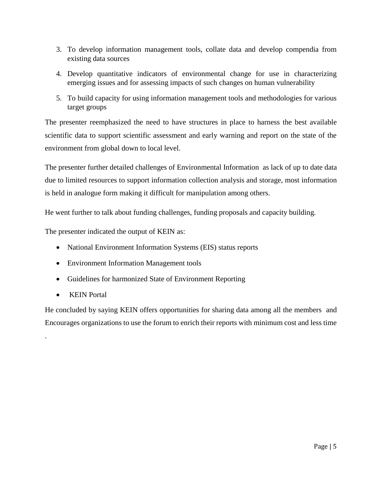- 3. To develop information management tools, collate data and develop compendia from existing data sources
- 4. Develop quantitative indicators of environmental change for use in characterizing emerging issues and for assessing impacts of such changes on human vulnerability
- 5. To build capacity for using information management tools and methodologies for various target groups

The presenter reemphasized the need to have structures in place to harness the best available scientific data to support scientific assessment and early warning and report on the state of the environment from global down to local level.

The presenter further detailed challenges of Environmental Information as lack of up to date data due to limited resources to support information collection analysis and storage, most information is held in analogue form making it difficult for manipulation among others.

He went further to talk about funding challenges, funding proposals and capacity building.

The presenter indicated the output of KEIN as:

- National Environment Information Systems (EIS) status reports
- Environment Information Management tools
- Guidelines for harmonized State of Environment Reporting
- KEIN Portal

.

He concluded by saying KEIN offers opportunities for sharing data among all the members and Encourages organizations to use the forum to enrich their reports with minimum cost and less time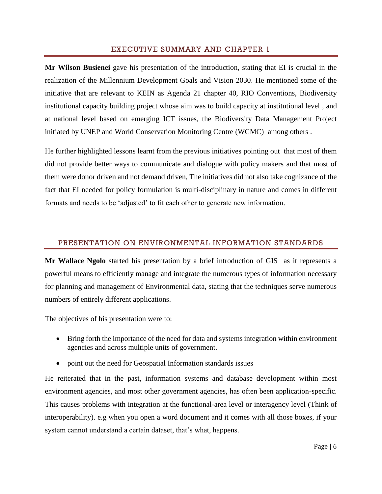#### EXECUTIVE SUMMARY AND CHAPTER 1

**Mr Wilson Busienei** gave his presentation of the introduction, stating that EI is crucial in the realization of the Millennium Development Goals and Vision 2030. He mentioned some of the initiative that are relevant to KEIN as Agenda 21 chapter 40, RIO Conventions, Biodiversity institutional capacity building project whose aim was to build capacity at institutional level , and at national level based on emerging ICT issues, the Biodiversity Data Management Project initiated by UNEP and World Conservation Monitoring Centre (WCMC) among others .

He further highlighted lessons learnt from the previous initiatives pointing out that most of them did not provide better ways to communicate and dialogue with policy makers and that most of them were donor driven and not demand driven, The initiatives did not also take cognizance of the fact that EI needed for policy formulation is multi-disciplinary in nature and comes in different formats and needs to be 'adjusted' to fit each other to generate new information.

# PRESENTATION ON ENVIRONMENTAL INFORMATION STANDARDS

**Mr Wallace Ngolo** started his presentation by a brief introduction of GIS as it represents a powerful means to efficiently manage and integrate the numerous types of information necessary for planning and management of Environmental data, stating that the techniques serve numerous numbers of entirely different applications.

The objectives of his presentation were to:

- Bring forth the importance of the need for data and systems integration within environment agencies and across multiple units of government.
- point out the need for Geospatial Information standards issues

He reiterated that in the past, information systems and database development within most environment agencies, and most other government agencies, has often been application-specific. This causes problems with integration at the functional-area level or interagency level (Think of interoperability). e.g when you open a word document and it comes with all those boxes, if your system cannot understand a certain dataset, that's what, happens.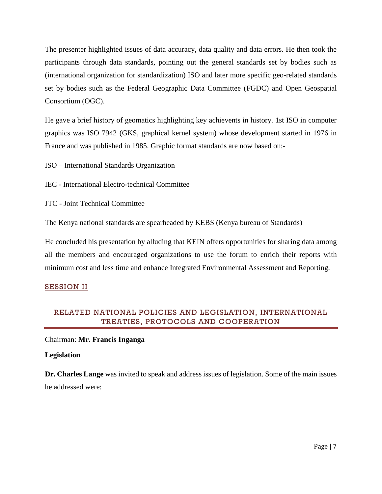The presenter highlighted issues of data accuracy, data quality and data errors. He then took the participants through data standards, pointing out the general standards set by bodies such as (international organization for standardization) ISO and later more specific geo-related standards set by bodies such as the Federal Geographic Data Committee (FGDC) and Open Geospatial Consortium (OGC).

He gave a brief history of geomatics highlighting key achievents in history. 1st ISO in computer graphics was ISO 7942 (GKS, graphical kernel system) whose development started in 1976 in France and was published in 1985. Graphic format standards are now based on:-

ISO – International Standards Organization

IEC - International Electro-technical Committee

JTC - Joint Technical Committee

The Kenya national standards are spearheaded by KEBS (Kenya bureau of Standards)

He concluded his presentation by alluding that KEIN offers opportunities for sharing data among all the members and encouraged organizations to use the forum to enrich their reports with minimum cost and less time and enhance Integrated Environmental Assessment and Reporting.

# SESSION II

# RELATED NATIONAL POLICIES AND LEGISLATION, INTERNATIONAL TREATIES, PROTOCOLS AND COOPERATION

# Chairman: **Mr. Francis Inganga**

# **Legislation**

**Dr. Charles Lange** was invited to speak and address issues of legislation. Some of the main issues he addressed were: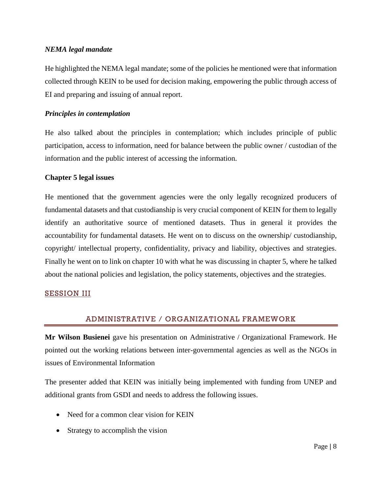# *NEMA legal mandate*

He highlighted the NEMA legal mandate; some of the policies he mentioned were that information collected through KEIN to be used for decision making, empowering the public through access of EI and preparing and issuing of annual report.

#### *Principles in contemplation*

He also talked about the principles in contemplation; which includes principle of public participation, access to information, need for balance between the public owner / custodian of the information and the public interest of accessing the information.

#### **Chapter 5 legal issues**

He mentioned that the government agencies were the only legally recognized producers of fundamental datasets and that custodianship is very crucial component of KEIN for them to legally identify an authoritative source of mentioned datasets. Thus in general it provides the accountability for fundamental datasets. He went on to discuss on the ownership/ custodianship, copyright/ intellectual property, confidentiality, privacy and liability, objectives and strategies. Finally he went on to link on chapter 10 with what he was discussing in chapter 5, where he talked about the national policies and legislation, the policy statements, objectives and the strategies.

# **SESSION III**

# ADMINISTRATIVE / ORGANIZATIONAL FRAMEWORK

**Mr Wilson Busienei** gave his presentation on Administrative / Organizational Framework. He pointed out the working relations between inter-governmental agencies as well as the NGOs in issues of Environmental Information

The presenter added that KEIN was initially being implemented with funding from UNEP and additional grants from GSDI and needs to address the following issues.

- Need for a common clear vision for KEIN
- Strategy to accomplish the vision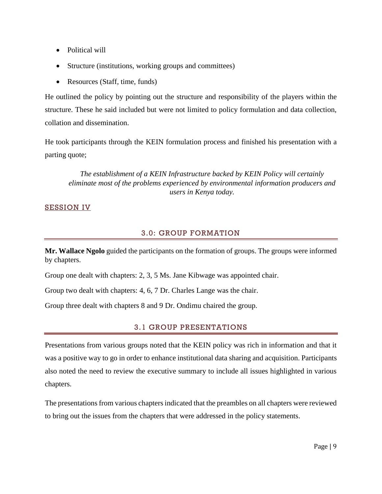- Political will
- Structure (institutions, working groups and committees)
- Resources (Staff, time, funds)

He outlined the policy by pointing out the structure and responsibility of the players within the structure. These he said included but were not limited to policy formulation and data collection, collation and dissemination.

He took participants through the KEIN formulation process and finished his presentation with a parting quote;

*The establishment of a KEIN Infrastructure backed by KEIN Policy will certainly eliminate most of the problems experienced by environmental information producers and users in Kenya today.*

# SESSION IV

# 3.0: GROUP FORMATION

**Mr. Wallace Ngolo** guided the participants on the formation of groups. The groups were informed by chapters.

Group one dealt with chapters: 2, 3, 5 Ms. Jane Kibwage was appointed chair.

Group two dealt with chapters: 4, 6, 7 Dr. Charles Lange was the chair.

Group three dealt with chapters 8 and 9 Dr. Ondimu chaired the group.

# 3.1 GROUP PRESENTATIONS

Presentations from various groups noted that the KEIN policy was rich in information and that it was a positive way to go in order to enhance institutional data sharing and acquisition. Participants also noted the need to review the executive summary to include all issues highlighted in various chapters.

The presentations from various chapters indicated that the preambles on all chapters were reviewed to bring out the issues from the chapters that were addressed in the policy statements.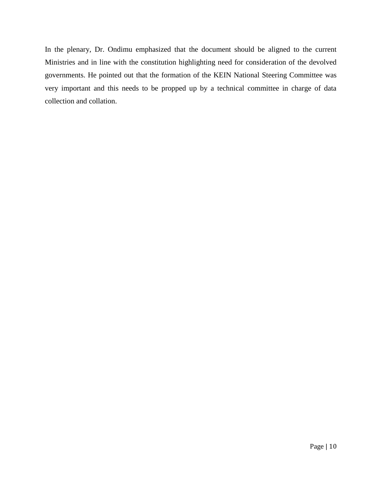In the plenary, Dr. Ondimu emphasized that the document should be aligned to the current Ministries and in line with the constitution highlighting need for consideration of the devolved governments. He pointed out that the formation of the KEIN National Steering Committee was very important and this needs to be propped up by a technical committee in charge of data collection and collation.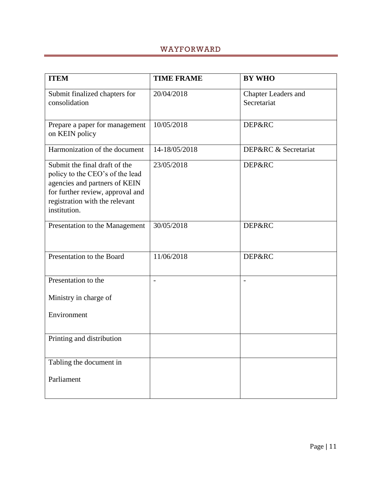# WAYFORWARD

| <b>ITEM</b>                                                                                                                                                                             | <b>TIME FRAME</b> | <b>BY WHO</b>                             |
|-----------------------------------------------------------------------------------------------------------------------------------------------------------------------------------------|-------------------|-------------------------------------------|
| Submit finalized chapters for<br>consolidation                                                                                                                                          | 20/04/2018        | <b>Chapter Leaders and</b><br>Secretariat |
| Prepare a paper for management<br>on KEIN policy                                                                                                                                        | 10/05/2018        | DEP&RC                                    |
| Harmonization of the document                                                                                                                                                           | 14-18/05/2018     | DEP&RC & Secretariat                      |
| Submit the final draft of the<br>policy to the CEO's of the lead<br>agencies and partners of KEIN<br>for further review, approval and<br>registration with the relevant<br>institution. | 23/05/2018        | DEP&RC                                    |
| Presentation to the Management                                                                                                                                                          | 30/05/2018        | DEP&RC                                    |
| Presentation to the Board                                                                                                                                                               | 11/06/2018        | <b>DEP&amp;RC</b>                         |
| Presentation to the                                                                                                                                                                     |                   |                                           |
| Ministry in charge of                                                                                                                                                                   |                   |                                           |
| Environment                                                                                                                                                                             |                   |                                           |
| Printing and distribution                                                                                                                                                               |                   |                                           |
| Tabling the document in                                                                                                                                                                 |                   |                                           |
| Parliament                                                                                                                                                                              |                   |                                           |